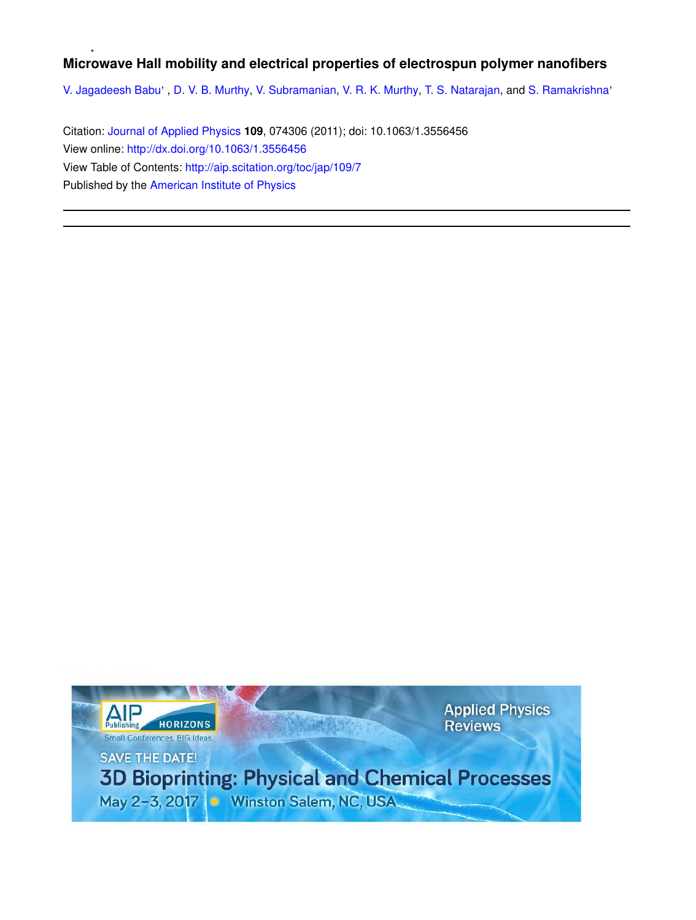# **Microwave Hall mobility and electrical properties of electrospun polymer nanofibers**

V. Jagadeesh Babu', D. V. B. Murthy, V. Subramanian, V. R. K. Murthy, T. S. Natarajan, and S. Ramakrishna'

Citation: Journal of Applied Physics **109**, 074306 (2011); doi: 10.1063/1.3556456 View online: http://dx.doi.org/10.1063/1.3556456 View Table of Contents: http://aip.scitation.org/toc/jap/109/7 Published by the American Institute of Physics

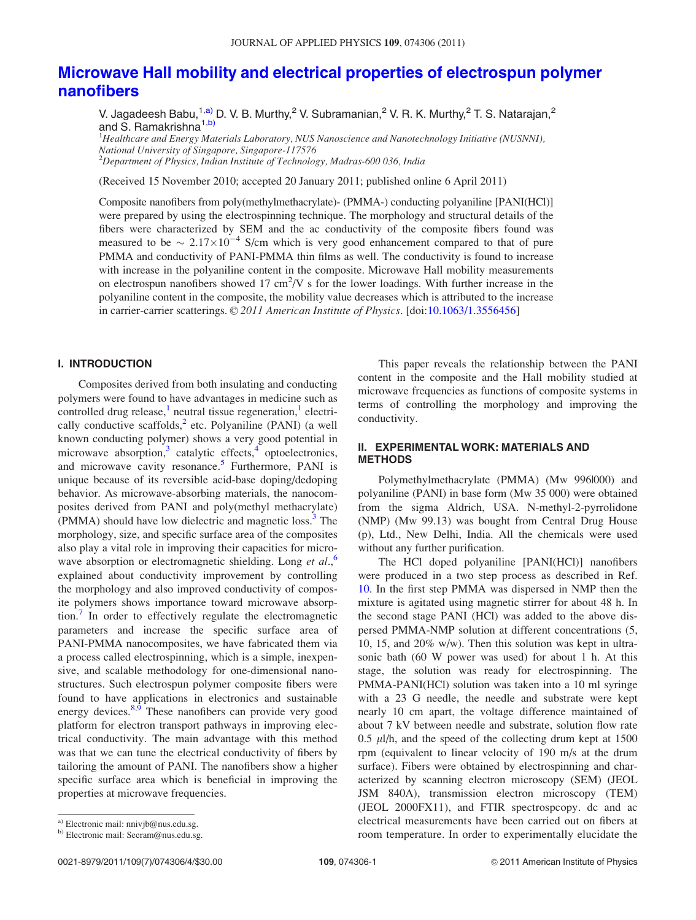## Microwave Hall mobility and electrical properties of electrospun polymer nanofibers

V. Jagadeesh Babu,<sup>1,a)</sup> D. V. B. Murthy,<sup>2</sup> V. Subramanian,<sup>2</sup> V. R. K. Murthy,<sup>2</sup> T. S. Natarajan,<sup>2</sup> and S. Ramakrishna<sup>1,b)</sup>

<sup>1</sup>Healthcare and Energy Materials Laboratory, NUS Nanoscience and Nanotechnology Initiative (NUSNNI), National University of Singapore, Singapore-117576 <sup>2</sup>Department of Physics, Indian Institute of Technology, Madras-600 036, India

(Received 15 November 2010; accepted 20 January 2011; published online 6 April 2011)

Composite nanofibers from poly(methylmethacrylate)- (PMMA-) conducting polyaniline [PANI(HCl)] were prepared by using the electrospinning technique. The morphology and structural details of the fibers were characterized by SEM and the ac conductivity of the composite fibers found was measured to be  $\sim 2.17 \times 10^{-4}$  S/cm which is very good enhancement compared to that of pure PMMA and conductivity of PANI-PMMA thin films as well. The conductivity is found to increase with increase in the polyaniline content in the composite. Microwave Hall mobility measurements on electrospun nanofibers showed 17 cm<sup>2</sup>/V s for the lower loadings. With further increase in the polyaniline content in the composite, the mobility value decreases which is attributed to the increase in carrier-carrier scatterings. © 2011 American Institute of Physics. [doi:10.1063/1.3556456]

### I. INTRODUCTION

Composites derived from both insulating and conducting polymers were found to have advantages in medicine such as  $controlled$  drug release,<sup>1</sup> neutral tissue regeneration,<sup>1</sup> electrically conductive scaffolds, $<sup>2</sup>$  etc. Polyaniline (PANI) (a well</sup> known conducting polymer) shows a very good potential in microwave absorption,<sup>3</sup> catalytic effects,<sup>4</sup> optoelectronics, and microwave cavity resonance.<sup>5</sup> Furthermore, PANI is unique because of its reversible acid-base doping/dedoping behavior. As microwave-absorbing materials, the nanocomposites derived from PANI and poly(methyl methacrylate) (PMMA) should have low dielectric and magnetic loss.<sup>3</sup> The morphology, size, and specific surface area of the composites also play a vital role in improving their capacities for microwave absorption or electromagnetic shielding. Long et al.,<sup>6</sup> explained about conductivity improvement by controlling the morphology and also improved conductivity of composite polymers shows importance toward microwave absorption.<sup>7</sup> In order to effectively regulate the electromagnetic parameters and increase the specific surface area of PANI-PMMA nanocomposites, we have fabricated them via a process called electrospinning, which is a simple, inexpensive, and scalable methodology for one-dimensional nanostructures. Such electrospun polymer composite fibers were found to have applications in electronics and sustainable energy devices.<sup>8,9</sup> These nanofibers can provide very good platform for electron transport pathways in improving electrical conductivity. The main advantage with this method was that we can tune the electrical conductivity of fibers by tailoring the amount of PANI. The nanofibers show a higher specific surface area which is beneficial in improving the properties at microwave frequencies.

This paper reveals the relationship between the PANI content in the composite and the Hall mobility studied at microwave frequencies as functions of composite systems in terms of controlling the morphology and improving the conductivity.

#### II. EXPERIMENTAL WORK: MATERIALS AND METHODS

Polymethylmethacrylate (PMMA) (Mw 996|000) and polyaniline (PANI) in base form (Mw 35 000) were obtained from the sigma Aldrich, USA. N-methyl-2-pyrrolidone (NMP) (Mw 99.13) was bought from Central Drug House (p), Ltd., New Delhi, India. All the chemicals were used without any further purification.

The HCl doped polyaniline [PANI(HCl)] nanofibers were produced in a two step process as described in Ref. 10. In the first step PMMA was dispersed in NMP then the mixture is agitated using magnetic stirrer for about 48 h. In the second stage PANI (HCl) was added to the above dispersed PMMA-NMP solution at different concentrations (5, 10, 15, and 20% w/w). Then this solution was kept in ultrasonic bath (60 W power was used) for about 1 h. At this stage, the solution was ready for electrospinning. The PMMA-PANI(HCl) solution was taken into a 10 ml syringe with a 23 G needle, the needle and substrate were kept nearly 10 cm apart, the voltage difference maintained of about 7 kV between needle and substrate, solution flow rate 0.5  $\mu$ l/h, and the speed of the collecting drum kept at 1500 rpm (equivalent to linear velocity of 190 m/s at the drum surface). Fibers were obtained by electrospinning and characterized by scanning electron microscopy (SEM) (JEOL JSM 840A), transmission electron microscopy (TEM) (JEOL 2000FX11), and FTIR spectrospcopy. dc and ac electrical measurements have been carried out on fibers at room temperature. In order to experimentally elucidate the

a) Electronic mail: nnivjb@nus.edu.sg.

b) Electronic mail: Seeram@nus.edu.sg.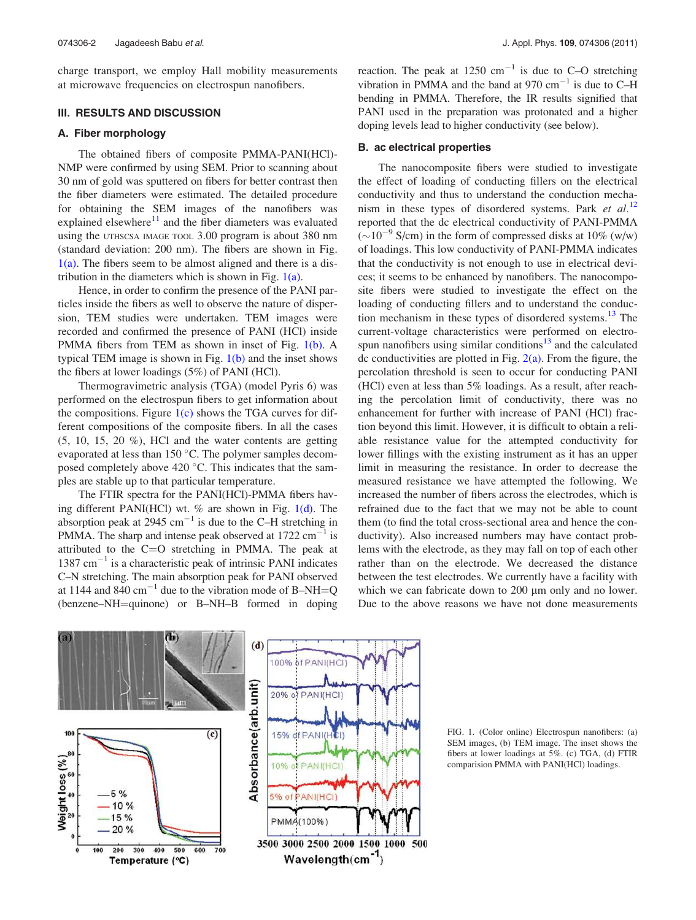charge transport, we employ Hall mobility measurements at microwave frequencies on electrospun nanofibers.

#### III. RESULTS AND DISCUSSION

#### A. Fiber morphology

The obtained fibers of composite PMMA-PANI(HCl)- NMP were confirmed by using SEM. Prior to scanning about 30 nm of gold was sputtered on fibers for better contrast then the fiber diameters were estimated. The detailed procedure for obtaining the SEM images of the nanofibers was explained elsewhere $11$  and the fiber diameters was evaluated using the UTHSCSA IMAGE TOOL 3.00 program is about 380 nm (standard deviation: 200 nm). The fibers are shown in Fig.  $1(a)$ . The fibers seem to be almost aligned and there is a distribution in the diameters which is shown in Fig.  $1(a)$ .

Hence, in order to confirm the presence of the PANI particles inside the fibers as well to observe the nature of dispersion, TEM studies were undertaken. TEM images were recorded and confirmed the presence of PANI (HCl) inside PMMA fibers from TEM as shown in inset of Fig. 1(b). A typical TEM image is shown in Fig.  $1(b)$  and the inset shows the fibers at lower loadings (5%) of PANI (HCl).

Thermogravimetric analysis (TGA) (model Pyris 6) was performed on the electrospun fibers to get information about the compositions. Figure  $1(c)$  shows the TGA curves for different compositions of the composite fibers. In all the cases  $(5, 10, 15, 20, 0)$ , HCl and the water contents are getting evaporated at less than  $150^{\circ}$ C. The polymer samples decomposed completely above 420  $^{\circ}$ C. This indicates that the samples are stable up to that particular temperature.

The FTIR spectra for the PANI(HCl)-PMMA fibers having different PANI(HCl) wt.  $%$  are shown in Fig. 1(d). The absorption peak at 2945  $\text{cm}^{-1}$  is due to the C-H stretching in PMMA. The sharp and intense peak observed at  $1722 \text{ cm}^{-1}$  is attributed to the  $C=O$  stretching in PMMA. The peak at  $1387 \text{ cm}^{-1}$  is a characteristic peak of intrinsic PANI indicates C–N stretching. The main absorption peak for PANI observed at 1144 and 840 cm<sup>-1</sup> due to the vibration mode of B-NH=Q (benzene–NH=quinone) or B–NH–B formed in doping

reaction. The peak at 1250  $\text{cm}^{-1}$  is due to C–O stretching vibration in PMMA and the band at 970  $\text{cm}^{-1}$  is due to C-H bending in PMMA. Therefore, the IR results signified that PANI used in the preparation was protonated and a higher doping levels lead to higher conductivity (see below).

#### B. ac electrical properties

The nanocomposite fibers were studied to investigate the effect of loading of conducting fillers on the electrical conductivity and thus to understand the conduction mechanism in these types of disordered systems. Park et  $al$ .<sup>12</sup> reported that the dc electrical conductivity of PANI-PMMA  $(\sim 10^{-9}$  S/cm) in the form of compressed disks at 10% (w/w) of loadings. This low conductivity of PANI-PMMA indicates that the conductivity is not enough to use in electrical devices; it seems to be enhanced by nanofibers. The nanocomposite fibers were studied to investigate the effect on the loading of conducting fillers and to understand the conduction mechanism in these types of disordered systems.<sup>13</sup> The current-voltage characteristics were performed on electrospun nanofibers using similar conditions $13$  and the calculated dc conductivities are plotted in Fig.  $2(a)$ . From the figure, the percolation threshold is seen to occur for conducting PANI (HCl) even at less than 5% loadings. As a result, after reaching the percolation limit of conductivity, there was no enhancement for further with increase of PANI (HCl) fraction beyond this limit. However, it is difficult to obtain a reliable resistance value for the attempted conductivity for lower fillings with the existing instrument as it has an upper limit in measuring the resistance. In order to decrease the measured resistance we have attempted the following. We increased the number of fibers across the electrodes, which is refrained due to the fact that we may not be able to count them (to find the total cross-sectional area and hence the conductivity). Also increased numbers may have contact problems with the electrode, as they may fall on top of each other rather than on the electrode. We decreased the distance between the test electrodes. We currently have a facility with which we can fabricate down to 200  $\mu$ m only and no lower. Due to the above reasons we have not done measurements



FIG. 1. (Color online) Electrospun nanofibers: (a) SEM images, (b) TEM image. The inset shows the fibers at lower loadings at 5%. (c) TGA, (d) FTIR comparision PMMA with PANI(HCl) loadings.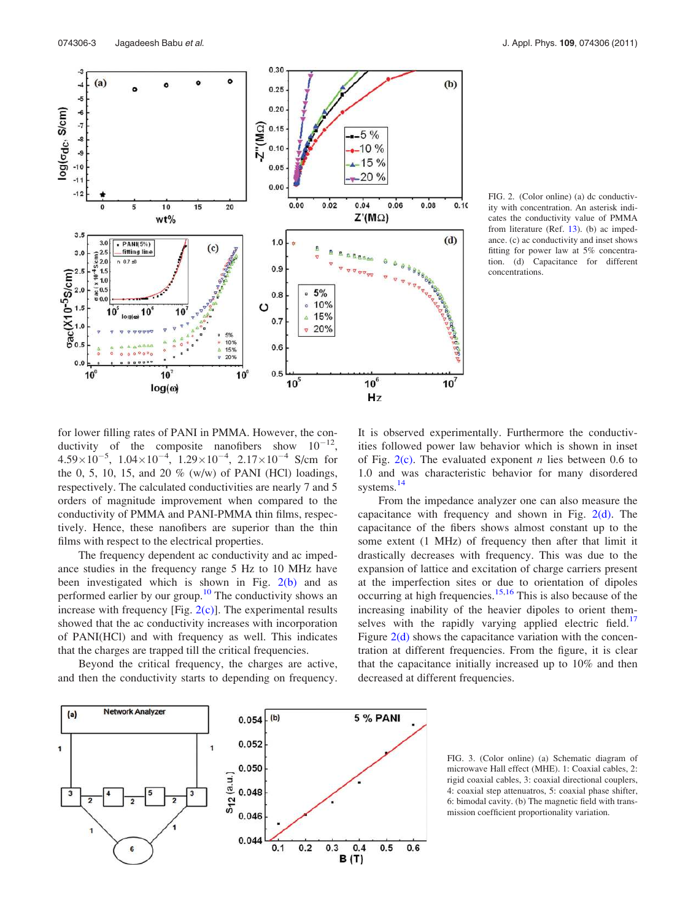

FIG. 2. (Color online) (a) dc conductivity with concentration. An asterisk indicates the conductivity value of PMMA from literature (Ref. 13). (b) ac impedance. (c) ac conductivity and inset shows fitting for power law at 5% concentration. (d) Capacitance for different concentrations.

for lower filling rates of PANI in PMMA. However, the conductivity of the composite nanofibers show  $10^{-12}$ ,  $4.59\times10^{-5}$ ,  $1.04\times10^{-4}$ ,  $1.29\times10^{-4}$ ,  $2.17\times10^{-4}$  S/cm for the 0, 5, 10, 15, and 20  $\%$  (w/w) of PANI (HCl) loadings, respectively. The calculated conductivities are nearly 7 and 5 orders of magnitude improvement when compared to the conductivity of PMMA and PANI-PMMA thin films, respectively. Hence, these nanofibers are superior than the thin films with respect to the electrical properties.

The frequency dependent ac conductivity and ac impedance studies in the frequency range 5 Hz to 10 MHz have been investigated which is shown in Fig. 2(b) and as performed earlier by our group.<sup>10</sup> The conductivity shows an increase with frequency [Fig.  $2(c)$ ]. The experimental results showed that the ac conductivity increases with incorporation of PANI(HCl) and with frequency as well. This indicates that the charges are trapped till the critical frequencies.

Beyond the critical frequency, the charges are active, and then the conductivity starts to depending on frequency. It is observed experimentally. Furthermore the conductivities followed power law behavior which is shown in inset of Fig.  $2(c)$ . The evaluated exponent *n* lies between 0.6 to 1.0 and was characteristic behavior for many disordered systems.<sup>14</sup>

From the impedance analyzer one can also measure the capacitance with frequency and shown in Fig.  $2(d)$ . The capacitance of the fibers shows almost constant up to the some extent (1 MHz) of frequency then after that limit it drastically decreases with frequency. This was due to the expansion of lattice and excitation of charge carriers present at the imperfection sites or due to orientation of dipoles occurring at high frequencies.<sup>15,16</sup> This is also because of the increasing inability of the heavier dipoles to orient themselves with the rapidly varying applied electric field.<sup>17</sup> Figure  $2(d)$  shows the capacitance variation with the concentration at different frequencies. From the figure, it is clear that the capacitance initially increased up to 10% and then decreased at different frequencies.



FIG. 3. (Color online) (a) Schematic diagram of microwave Hall effect (MHE). 1: Coaxial cables, 2: rigid coaxial cables, 3: coaxial directional couplers, 4: coaxial step attenuatros, 5: coaxial phase shifter, 6: bimodal cavity. (b) The magnetic field with transmission coefficient proportionality variation.